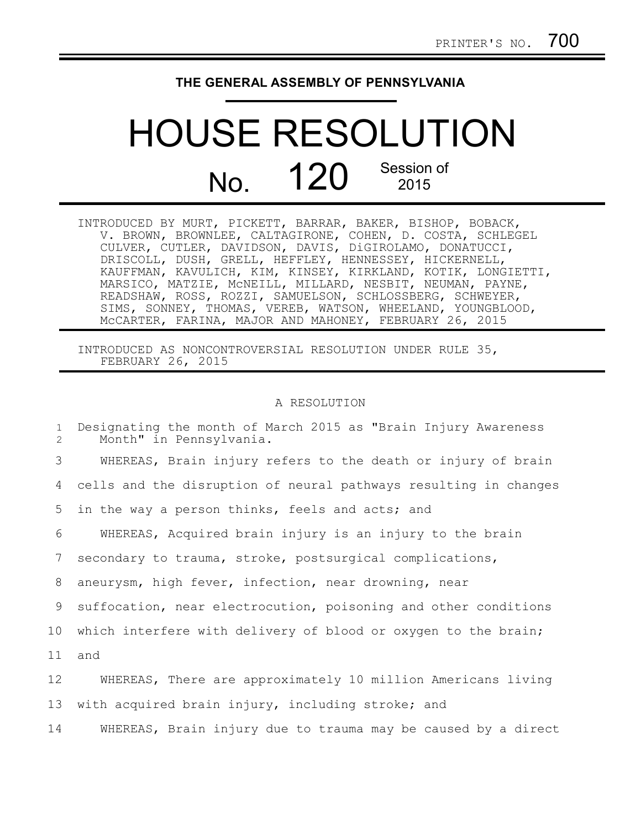## **THE GENERAL ASSEMBLY OF PENNSYLVANIA**

## HOUSE RESOLUTION No. 120 Session of 2015

| INTRODUCED BY MURT, PICKETT, BARRAR, BAKER, BISHOP, BOBACK,  |
|--------------------------------------------------------------|
| V. BROWN, BROWNLEE, CALTAGIRONE, COHEN, D. COSTA, SCHLEGEL   |
| CULVER, CUTLER, DAVIDSON, DAVIS, DiGIROLAMO, DONATUCCI,      |
| DRISCOLL, DUSH, GRELL, HEFFLEY, HENNESSEY, HICKERNELL,       |
| KAUFFMAN, KAVULICH, KIM, KINSEY, KIRKLAND, KOTIK, LONGIETTI, |
| MARSICO, MATZIE, MCNEILL, MILLARD, NESBIT, NEUMAN, PAYNE,    |
| READSHAW, ROSS, ROZZI, SAMUELSON, SCHLOSSBERG, SCHWEYER,     |
| SIMS, SONNEY, THOMAS, VEREB, WATSON, WHEELAND, YOUNGBLOOD,   |
| MCCARTER, FARINA, MAJOR AND MAHONEY, FEBRUARY 26, 2015       |

INTRODUCED AS NONCONTROVERSIAL RESOLUTION UNDER RULE 35, FEBRUARY 26, 2015

## A RESOLUTION

| $\mathbf{1}$<br>2 | Designating the month of March 2015 as "Brain Injury Awareness<br>Month" in Pennsylvania. |
|-------------------|-------------------------------------------------------------------------------------------|
| 3                 | WHEREAS, Brain injury refers to the death or injury of brain                              |
| 4                 | cells and the disruption of neural pathways resulting in changes                          |
| 5                 | in the way a person thinks, feels and acts; and                                           |
| 6                 | WHEREAS, Acquired brain injury is an injury to the brain                                  |
| 7                 | secondary to trauma, stroke, postsurgical complications,                                  |
| 8                 | aneurysm, high fever, infection, near drowning, near                                      |
| 9                 | suffocation, near electrocution, poisoning and other conditions                           |
| 10 <sub>o</sub>   | which interfere with delivery of blood or oxygen to the brain;                            |
| 11                | and                                                                                       |
| 12                | WHEREAS, There are approximately 10 million Americans living                              |
| 13                | with acquired brain injury, including stroke; and                                         |
| 14                | WHEREAS, Brain injury due to trauma may be caused by a direct                             |
|                   |                                                                                           |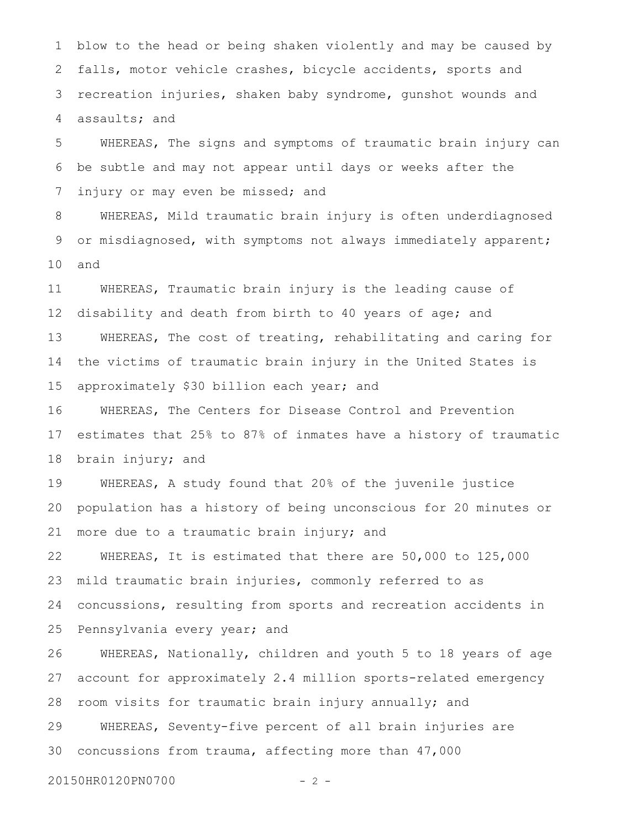blow to the head or being shaken violently and may be caused by falls, motor vehicle crashes, bicycle accidents, sports and recreation injuries, shaken baby syndrome, gunshot wounds and assaults; and 1 2 3 4

WHEREAS, The signs and symptoms of traumatic brain injury can be subtle and may not appear until days or weeks after the injury or may even be missed; and 5 6 7

WHEREAS, Mild traumatic brain injury is often underdiagnosed or misdiagnosed, with symptoms not always immediately apparent; and 8 9 10

WHEREAS, Traumatic brain injury is the leading cause of disability and death from birth to 40 years of age; and WHEREAS, The cost of treating, rehabilitating and caring for the victims of traumatic brain injury in the United States is approximately \$30 billion each year; and 11 12 13 14 15

WHEREAS, The Centers for Disease Control and Prevention estimates that 25% to 87% of inmates have a history of traumatic brain injury; and 16 17 18

WHEREAS, A study found that 20% of the juvenile justice population has a history of being unconscious for 20 minutes or more due to a traumatic brain injury; and 19 20 21

WHEREAS, It is estimated that there are 50,000 to 125,000 mild traumatic brain injuries, commonly referred to as concussions, resulting from sports and recreation accidents in Pennsylvania every year; and 22 23 24 25

WHEREAS, Nationally, children and youth 5 to 18 years of age account for approximately 2.4 million sports-related emergency room visits for traumatic brain injury annually; and WHEREAS, Seventy-five percent of all brain injuries are concussions from trauma, affecting more than 47,000 26 27 28 29 30

```
20150HR0120PN0700 - 2 -
```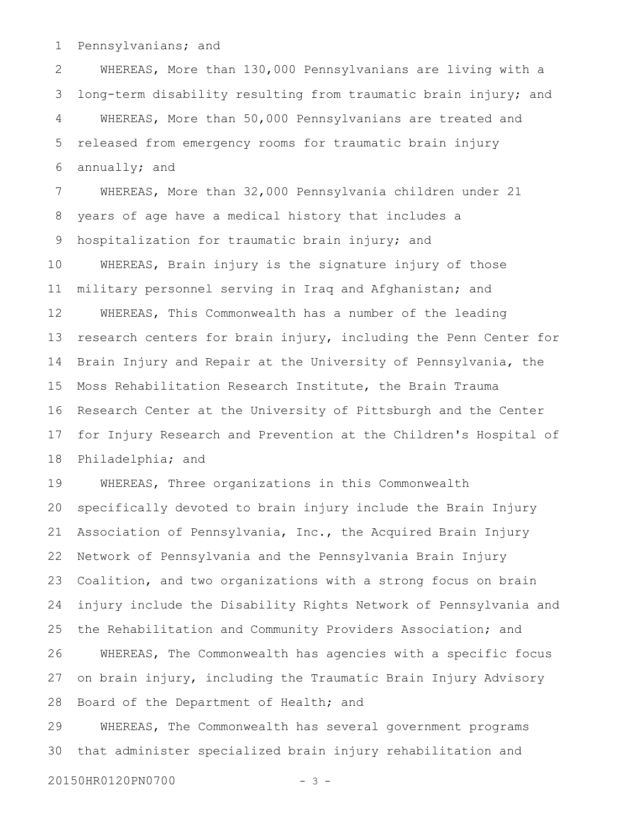Pennsylvanians; and 1

WHEREAS, More than 130,000 Pennsylvanians are living with a long-term disability resulting from traumatic brain injury; and WHEREAS, More than 50,000 Pennsylvanians are treated and released from emergency rooms for traumatic brain injury annually; and 2 3 4 5 6

WHEREAS, More than 32,000 Pennsylvania children under 21 years of age have a medical history that includes a hospitalization for traumatic brain injury; and WHEREAS, Brain injury is the signature injury of those military personnel serving in Iraq and Afghanistan; and WHEREAS, This Commonwealth has a number of the leading research centers for brain injury, including the Penn Center for Brain Injury and Repair at the University of Pennsylvania, the Moss Rehabilitation Research Institute, the Brain Trauma Research Center at the University of Pittsburgh and the Center for Injury Research and Prevention at the Children's Hospital of Philadelphia; and 7 8 9 10 11 12 13 14 15 16 17 18

WHEREAS, Three organizations in this Commonwealth specifically devoted to brain injury include the Brain Injury Association of Pennsylvania, Inc., the Acquired Brain Injury Network of Pennsylvania and the Pennsylvania Brain Injury Coalition, and two organizations with a strong focus on brain injury include the Disability Rights Network of Pennsylvania and the Rehabilitation and Community Providers Association; and WHEREAS, The Commonwealth has agencies with a specific focus on brain injury, including the Traumatic Brain Injury Advisory Board of the Department of Health; and WHEREAS, The Commonwealth has several government programs 19 20 21 22 23 24 25 26 27 28 29

that administer specialized brain injury rehabilitation and 30

20150HR0120PN0700 - 3 -